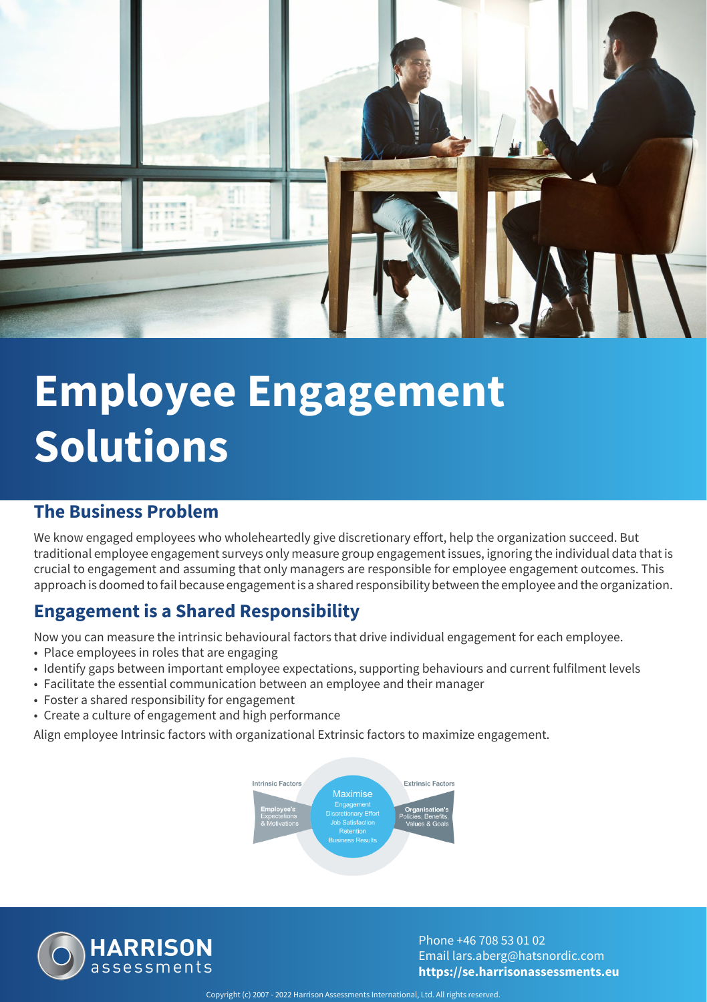

# **Employee Engagement Solutions**

### **The Business Problem**

We know engaged employees who wholeheartedly give discretionary effort, help the organization succeed. But traditional employee engagement surveys only measure group engagement issues, ignoring the individual data that is crucial to engagement and assuming that only managers are responsible for employee engagement outcomes. This approach is doomed to fail because engagement is a shared responsibility between the employee and the organization.

### **Engagement is a Shared Responsibility**

Now you can measure the intrinsic behavioural factors that drive individual engagement for each employee.

- Place employees in roles that are engaging
- Identify gaps between important employee expectations, supporting behaviours and current fulfilment levels
- Facilitate the essential communication between an employee and their manager
- Foster a shared responsibility for engagement
- Create a culture of engagement and high performance

Align employee Intrinsic factors with organizational Extrinsic factors to maximize engagement.





Phone +46 708 53 01 02 Email lars.aberg@hatsnordic.com **https://se.harrisonassessments.eu**